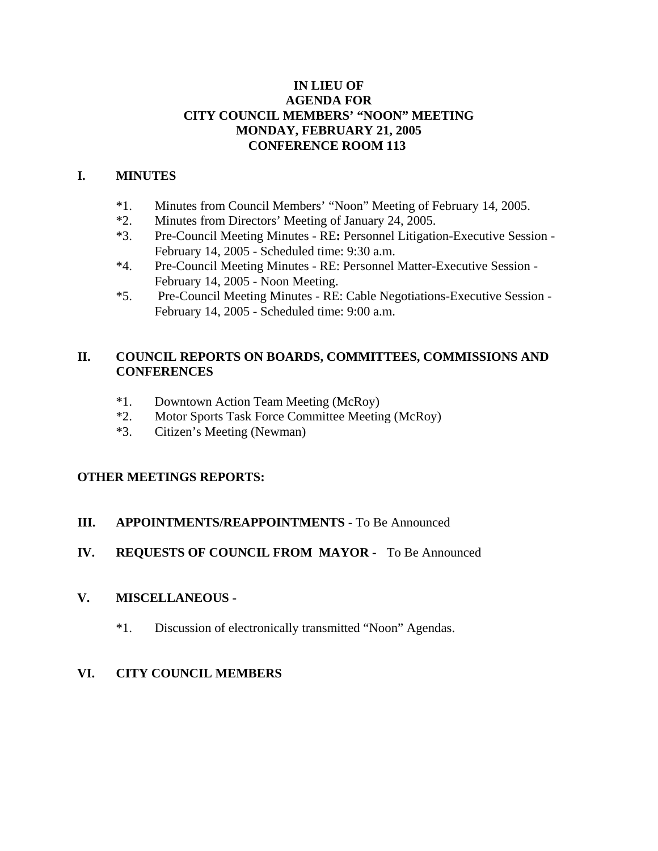### **IN LIEU OF AGENDA FOR CITY COUNCIL MEMBERS' "NOON" MEETING MONDAY, FEBRUARY 21, 2005 CONFERENCE ROOM 113**

### **I. MINUTES**

- \*1. Minutes from Council Members' "Noon" Meeting of February 14, 2005.
- \*2. Minutes from Directors' Meeting of January 24, 2005.
- \*3. Pre-Council Meeting Minutes RE**:** Personnel Litigation-Executive Session February 14, 2005 - Scheduled time: 9:30 a.m.
- \*4. Pre-Council Meeting Minutes RE: Personnel Matter-Executive Session February 14, 2005 - Noon Meeting.
- \*5. Pre-Council Meeting Minutes RE: Cable Negotiations-Executive Session February 14, 2005 - Scheduled time: 9:00 a.m.

### **II. COUNCIL REPORTS ON BOARDS, COMMITTEES, COMMISSIONS AND CONFERENCES**

- \*1. Downtown Action Team Meeting (McRoy)
- \*2. Motor Sports Task Force Committee Meeting (McRoy)
- \*3. Citizen's Meeting (Newman)

### **OTHER MEETINGS REPORTS:**

## **III.** APPOINTMENTS/REAPPOINTMENTS - To Be Announced

# **IV. REQUESTS OF COUNCIL FROM MAYOR -** To Be Announced

### **V. MISCELLANEOUS -**

\*1. Discussion of electronically transmitted "Noon" Agendas.

# **VI. CITY COUNCIL MEMBERS**